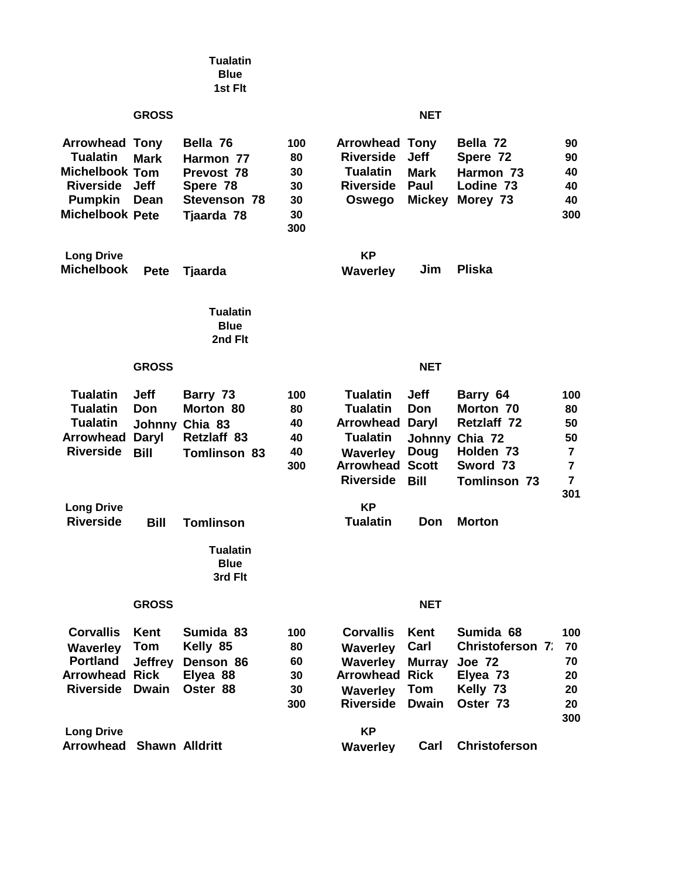|                                                                                                                            |                                                                    | <b>Tualatin</b><br><b>Blue</b><br>1st Fit                                     |                                          |                                                                                                                 |                                                                              |                                                                                                        |                                                   |
|----------------------------------------------------------------------------------------------------------------------------|--------------------------------------------------------------------|-------------------------------------------------------------------------------|------------------------------------------|-----------------------------------------------------------------------------------------------------------------|------------------------------------------------------------------------------|--------------------------------------------------------------------------------------------------------|---------------------------------------------------|
|                                                                                                                            | <b>GROSS</b>                                                       |                                                                               |                                          |                                                                                                                 | <b>NET</b>                                                                   |                                                                                                        |                                                   |
| <b>Arrowhead Tony</b><br><b>Tualatin</b><br><b>Michelbook Tom</b><br><b>Riverside</b><br><b>Pumpkin</b><br>Michelbook Pete | <b>Mark</b><br><b>Jeff</b><br>Dean                                 | Bella 76<br>Harmon 77<br>Prevost 78<br>Spere 78<br>Stevenson 78<br>Tjaarda 78 | 100<br>80<br>30<br>30<br>30<br>30<br>300 | <b>Arrowhead Tony</b><br><b>Riverside</b><br><b>Tualatin</b><br><b>Riverside</b><br>Oswego                      | <b>Jeff</b><br><b>Mark</b><br>Paul<br><b>Mickey</b>                          | Bella 72<br>Spere 72<br>Harmon 73<br>Lodine 73<br>Morey 73                                             | 90<br>90<br>40<br>40<br>40<br>300                 |
| <b>Long Drive</b><br><b>Michelbook</b>                                                                                     | <b>Pete</b>                                                        | Tjaarda                                                                       |                                          | <b>KP</b><br><b>Waverley</b>                                                                                    | Jim                                                                          | <b>Pliska</b>                                                                                          |                                                   |
|                                                                                                                            |                                                                    | <b>Tualatin</b><br><b>Blue</b><br>2nd Flt                                     |                                          |                                                                                                                 |                                                                              |                                                                                                        |                                                   |
|                                                                                                                            | <b>GROSS</b>                                                       |                                                                               |                                          |                                                                                                                 | <b>NET</b>                                                                   |                                                                                                        |                                                   |
| <b>Tualatin</b><br><b>Tualatin</b><br><b>Tualatin</b><br><b>Arrowhead</b><br><b>Riverside</b>                              | <b>Jeff</b><br>Don<br><b>Johnny</b><br><b>Daryl</b><br><b>Bill</b> | Barry 73<br>Morton 80<br>Chia 83<br>Retzlaff 83<br><b>Tomlinson 83</b>        | 100<br>80<br>40<br>40<br>40<br>300       | <b>Tualatin</b><br><b>Tualatin</b><br>Arrowhead<br><b>Tualatin</b><br>Waverley<br>Arrowhead<br><b>Riverside</b> | <b>Jeff</b><br>Don<br>Daryl<br>Johnny<br>Doug<br><b>Scott</b><br><b>Bill</b> | Barry 64<br>Morton 70<br><b>Retzlaff 72</b><br>Chia 72<br>Holden 73<br>Sword 73<br><b>Tomlinson 73</b> | 100<br>80<br>50<br>50<br>7<br>$\overline{7}$<br>7 |
| <b>Long Drive</b><br><b>Riverside</b>                                                                                      | <b>Bill</b>                                                        | <b>Tomlinson</b><br><b>Tualatin</b><br><b>Blue</b><br>3rd Flt                 |                                          | <b>KP</b><br><b>Tualatin</b>                                                                                    | Don                                                                          | <b>Morton</b>                                                                                          | 301                                               |
|                                                                                                                            | <b>GROSS</b>                                                       |                                                                               |                                          |                                                                                                                 | <b>NET</b>                                                                   |                                                                                                        |                                                   |
| <b>Corvallis</b><br><b>Waverley</b><br><b>Portland</b><br><b>Arrowhead Rick</b><br><b>Riverside</b>                        | Kent<br>Tom<br><b>Jeffrey</b><br><b>Dwain</b>                      | Sumida 83<br>Kelly 85<br>Denson 86<br>Elyea 88<br>Oster 88                    | 100<br>80<br>60<br>30<br>30<br>300       | <b>Corvallis</b><br><b>Waverley</b><br><b>Waverley</b><br>Arrowhead<br><b>Waverley</b><br><b>Riverside</b>      | Kent<br>Carl<br><b>Murray</b><br><b>Rick</b><br>Tom<br><b>Dwain</b>          | Sumida 68<br><b>Christoferson 7:</b><br><b>Joe 72</b><br>Elyea 73<br>Kelly 73<br>Oster 73              | 100<br>70<br>70<br>20<br>20<br>20<br>300          |
| <b>Long Drive</b><br><b>Arrowhead</b>                                                                                      | <b>Shawn Alldritt</b>                                              |                                                                               |                                          | <b>KP</b><br><b>Waverley</b>                                                                                    | Carl                                                                         | <b>Christoferson</b>                                                                                   |                                                   |